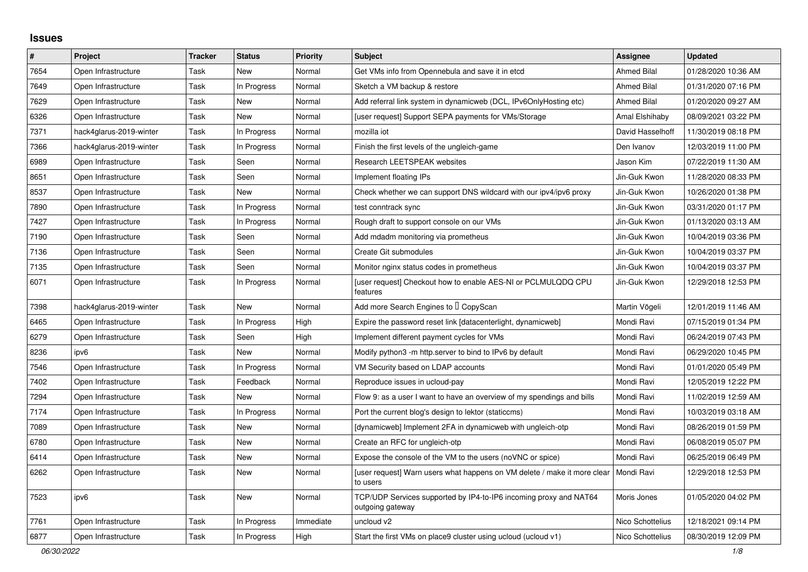## **Issues**

| #    | Project                 | <b>Tracker</b> | <b>Status</b> | <b>Priority</b> | <b>Subject</b>                                                                        | <b>Assignee</b>    | <b>Updated</b>      |
|------|-------------------------|----------------|---------------|-----------------|---------------------------------------------------------------------------------------|--------------------|---------------------|
| 7654 | Open Infrastructure     | Task           | New           | Normal          | Get VMs info from Opennebula and save it in etcd                                      | <b>Ahmed Bilal</b> | 01/28/2020 10:36 AM |
| 7649 | Open Infrastructure     | Task           | In Progress   | Normal          | Sketch a VM backup & restore                                                          | <b>Ahmed Bilal</b> | 01/31/2020 07:16 PM |
| 7629 | Open Infrastructure     | Task           | New           | Normal          | Add referral link system in dynamicweb (DCL, IPv6OnlyHosting etc)                     | <b>Ahmed Bilal</b> | 01/20/2020 09:27 AM |
| 6326 | Open Infrastructure     | Task           | New           | Normal          | [user request] Support SEPA payments for VMs/Storage                                  | Amal Elshihaby     | 08/09/2021 03:22 PM |
| 7371 | hack4glarus-2019-winter | Task           | In Progress   | Normal          | mozilla iot                                                                           | David Hasselhoff   | 11/30/2019 08:18 PM |
| 7366 | hack4glarus-2019-winter | Task           | In Progress   | Normal          | Finish the first levels of the ungleich-game                                          | Den Ivanov         | 12/03/2019 11:00 PM |
| 6989 | Open Infrastructure     | Task           | Seen          | Normal          | <b>Research LEETSPEAK websites</b>                                                    | Jason Kim          | 07/22/2019 11:30 AM |
| 8651 | Open Infrastructure     | Task           | Seen          | Normal          | Implement floating IPs                                                                | Jin-Guk Kwon       | 11/28/2020 08:33 PM |
| 8537 | Open Infrastructure     | Task           | New           | Normal          | Check whether we can support DNS wildcard with our ipv4/ipv6 proxy                    | Jin-Guk Kwon       | 10/26/2020 01:38 PM |
| 7890 | Open Infrastructure     | Task           | In Progress   | Normal          | test conntrack sync                                                                   | Jin-Guk Kwon       | 03/31/2020 01:17 PM |
| 7427 | Open Infrastructure     | Task           | In Progress   | Normal          | Rough draft to support console on our VMs                                             | Jin-Guk Kwon       | 01/13/2020 03:13 AM |
| 7190 | Open Infrastructure     | Task           | Seen          | Normal          | Add mdadm monitoring via prometheus                                                   | Jin-Guk Kwon       | 10/04/2019 03:36 PM |
| 7136 | Open Infrastructure     | Task           | Seen          | Normal          | Create Git submodules                                                                 | Jin-Guk Kwon       | 10/04/2019 03:37 PM |
| 7135 | Open Infrastructure     | Task           | Seen          | Normal          | Monitor nginx status codes in prometheus                                              | Jin-Guk Kwon       | 10/04/2019 03:37 PM |
| 6071 | Open Infrastructure     | Task           | In Progress   | Normal          | [user request] Checkout how to enable AES-NI or PCLMULQDQ CPU<br>features             | Jin-Guk Kwon       | 12/29/2018 12:53 PM |
| 7398 | hack4glarus-2019-winter | Task           | New           | Normal          | Add more Search Engines to I CopyScan                                                 | Martin Vögeli      | 12/01/2019 11:46 AM |
| 6465 | Open Infrastructure     | Task           | In Progress   | High            | Expire the password reset link [datacenterlight, dynamicweb]                          | Mondi Ravi         | 07/15/2019 01:34 PM |
| 6279 | Open Infrastructure     | Task           | Seen          | High            | Implement different payment cycles for VMs                                            | Mondi Ravi         | 06/24/2019 07:43 PM |
| 8236 | ipv6                    | Task           | <b>New</b>    | Normal          | Modify python3 -m http.server to bind to IPv6 by default                              | Mondi Ravi         | 06/29/2020 10:45 PM |
| 7546 | Open Infrastructure     | Task           | In Progress   | Normal          | VM Security based on LDAP accounts                                                    | Mondi Ravi         | 01/01/2020 05:49 PM |
| 7402 | Open Infrastructure     | Task           | Feedback      | Normal          | Reproduce issues in ucloud-pay                                                        | Mondi Ravi         | 12/05/2019 12:22 PM |
| 7294 | Open Infrastructure     | Task           | New           | Normal          | Flow 9: as a user I want to have an overview of my spendings and bills                | Mondi Ravi         | 11/02/2019 12:59 AM |
| 7174 | Open Infrastructure     | Task           | In Progress   | Normal          | Port the current blog's design to lektor (staticcms)                                  | Mondi Ravi         | 10/03/2019 03:18 AM |
| 7089 | Open Infrastructure     | Task           | New           | Normal          | [dynamicweb] Implement 2FA in dynamicweb with ungleich-otp                            | Mondi Ravi         | 08/26/2019 01:59 PM |
| 6780 | Open Infrastructure     | Task           | New           | Normal          | Create an RFC for ungleich-otp                                                        | Mondi Ravi         | 06/08/2019 05:07 PM |
| 6414 | Open Infrastructure     | Task           | <b>New</b>    | Normal          | Expose the console of the VM to the users (noVNC or spice)                            | Mondi Ravi         | 06/25/2019 06:49 PM |
| 6262 | Open Infrastructure     | Task           | New           | Normal          | [user request] Warn users what happens on VM delete / make it more clear<br>to users  | Mondi Ravi         | 12/29/2018 12:53 PM |
| 7523 | ipv6                    | Task           | New           | Normal          | TCP/UDP Services supported by IP4-to-IP6 incoming proxy and NAT64<br>outgoing gateway | Moris Jones        | 01/05/2020 04:02 PM |
| 7761 | Open Infrastructure     | Task           | In Progress   | Immediate       | uncloud v2                                                                            | Nico Schottelius   | 12/18/2021 09:14 PM |
| 6877 | Open Infrastructure     | Task           | In Progress   | High            | Start the first VMs on place 9 cluster using ucloud (ucloud v1)                       | Nico Schottelius   | 08/30/2019 12:09 PM |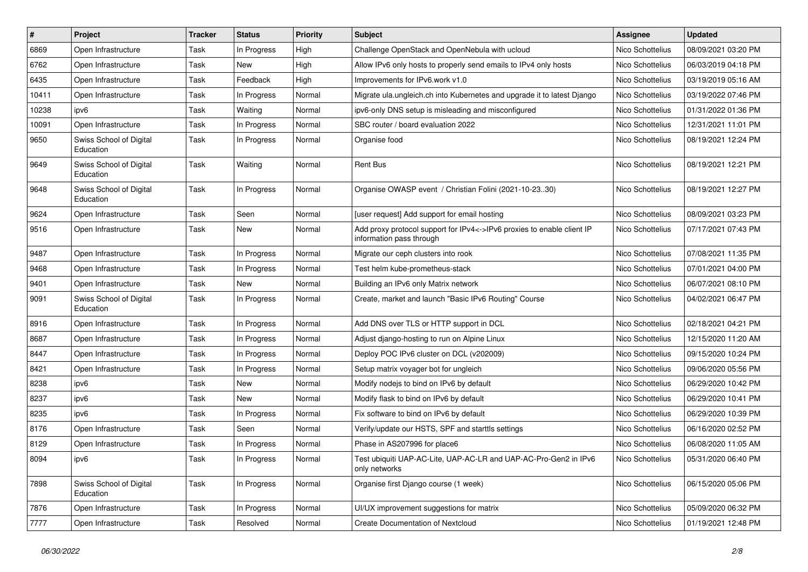| $\vert$ # | Project                              | <b>Tracker</b> | <b>Status</b> | <b>Priority</b> | Subject                                                                                            | <b>Assignee</b>  | <b>Updated</b>      |
|-----------|--------------------------------------|----------------|---------------|-----------------|----------------------------------------------------------------------------------------------------|------------------|---------------------|
| 6869      | Open Infrastructure                  | Task           | In Progress   | High            | Challenge OpenStack and OpenNebula with ucloud                                                     | Nico Schottelius | 08/09/2021 03:20 PM |
| 6762      | Open Infrastructure                  | Task           | New           | High            | Allow IPv6 only hosts to properly send emails to IPv4 only hosts                                   | Nico Schottelius | 06/03/2019 04:18 PM |
| 6435      | Open Infrastructure                  | Task           | Feedback      | High            | Improvements for IPv6.work v1.0                                                                    | Nico Schottelius | 03/19/2019 05:16 AM |
| 10411     | Open Infrastructure                  | Task           | In Progress   | Normal          | Migrate ula.ungleich.ch into Kubernetes and upgrade it to latest Django                            | Nico Schottelius | 03/19/2022 07:46 PM |
| 10238     | ipv6                                 | Task           | Waiting       | Normal          | ipv6-only DNS setup is misleading and misconfigured                                                | Nico Schottelius | 01/31/2022 01:36 PM |
| 10091     | Open Infrastructure                  | Task           | In Progress   | Normal          | SBC router / board evaluation 2022                                                                 | Nico Schottelius | 12/31/2021 11:01 PM |
| 9650      | Swiss School of Digital<br>Education | Task           | In Progress   | Normal          | Organise food                                                                                      | Nico Schottelius | 08/19/2021 12:24 PM |
| 9649      | Swiss School of Digital<br>Education | Task           | Waiting       | Normal          | Rent Bus                                                                                           | Nico Schottelius | 08/19/2021 12:21 PM |
| 9648      | Swiss School of Digital<br>Education | Task           | In Progress   | Normal          | Organise OWASP event / Christian Folini (2021-10-2330)                                             | Nico Schottelius | 08/19/2021 12:27 PM |
| 9624      | Open Infrastructure                  | Task           | Seen          | Normal          | [user request] Add support for email hosting                                                       | Nico Schottelius | 08/09/2021 03:23 PM |
| 9516      | Open Infrastructure                  | Task           | New           | Normal          | Add proxy protocol support for IPv4<->IPv6 proxies to enable client IP<br>information pass through | Nico Schottelius | 07/17/2021 07:43 PM |
| 9487      | Open Infrastructure                  | Task           | In Progress   | Normal          | Migrate our ceph clusters into rook                                                                | Nico Schottelius | 07/08/2021 11:35 PM |
| 9468      | Open Infrastructure                  | Task           | In Progress   | Normal          | Test helm kube-prometheus-stack                                                                    | Nico Schottelius | 07/01/2021 04:00 PM |
| 9401      | Open Infrastructure                  | Task           | New           | Normal          | Building an IPv6 only Matrix network                                                               | Nico Schottelius | 06/07/2021 08:10 PM |
| 9091      | Swiss School of Digital<br>Education | Task           | In Progress   | Normal          | Create, market and launch "Basic IPv6 Routing" Course                                              | Nico Schottelius | 04/02/2021 06:47 PM |
| 8916      | Open Infrastructure                  | Task           | In Progress   | Normal          | Add DNS over TLS or HTTP support in DCL                                                            | Nico Schottelius | 02/18/2021 04:21 PM |
| 8687      | Open Infrastructure                  | Task           | In Progress   | Normal          | Adjust diango-hosting to run on Alpine Linux                                                       | Nico Schottelius | 12/15/2020 11:20 AM |
| 8447      | Open Infrastructure                  | Task           | In Progress   | Normal          | Deploy POC IPv6 cluster on DCL (v202009)                                                           | Nico Schottelius | 09/15/2020 10:24 PM |
| 8421      | Open Infrastructure                  | Task           | In Progress   | Normal          | Setup matrix voyager bot for ungleich                                                              | Nico Schottelius | 09/06/2020 05:56 PM |
| 8238      | ipv6                                 | Task           | New           | Normal          | Modify nodejs to bind on IPv6 by default                                                           | Nico Schottelius | 06/29/2020 10:42 PM |
| 8237      | ipv6                                 | Task           | New           | Normal          | Modify flask to bind on IPv6 by default                                                            | Nico Schottelius | 06/29/2020 10:41 PM |
| 8235      | ipv6                                 | Task           | In Progress   | Normal          | Fix software to bind on IPv6 by default                                                            | Nico Schottelius | 06/29/2020 10:39 PM |
| 8176      | Open Infrastructure                  | Task           | Seen          | Normal          | Verify/update our HSTS, SPF and starttls settings                                                  | Nico Schottelius | 06/16/2020 02:52 PM |
| 8129      | Open Infrastructure                  | Task           | In Progress   | Normal          | Phase in AS207996 for place6                                                                       | Nico Schottelius | 06/08/2020 11:05 AM |
| 8094      | ipv6                                 | Task           | In Progress   | Normal          | Test ubiquiti UAP-AC-Lite, UAP-AC-LR and UAP-AC-Pro-Gen2 in IPv6<br>only networks                  | Nico Schottelius | 05/31/2020 06:40 PM |
| 7898      | Swiss School of Digital<br>Education | Task           | In Progress   | Normal          | Organise first Django course (1 week)                                                              | Nico Schottelius | 06/15/2020 05:06 PM |
| 7876      | Open Infrastructure                  | Task           | In Progress   | Normal          | UI/UX improvement suggestions for matrix                                                           | Nico Schottelius | 05/09/2020 06:32 PM |
| 7777      | Open Infrastructure                  | Task           | Resolved      | Normal          | <b>Create Documentation of Nextcloud</b>                                                           | Nico Schottelius | 01/19/2021 12:48 PM |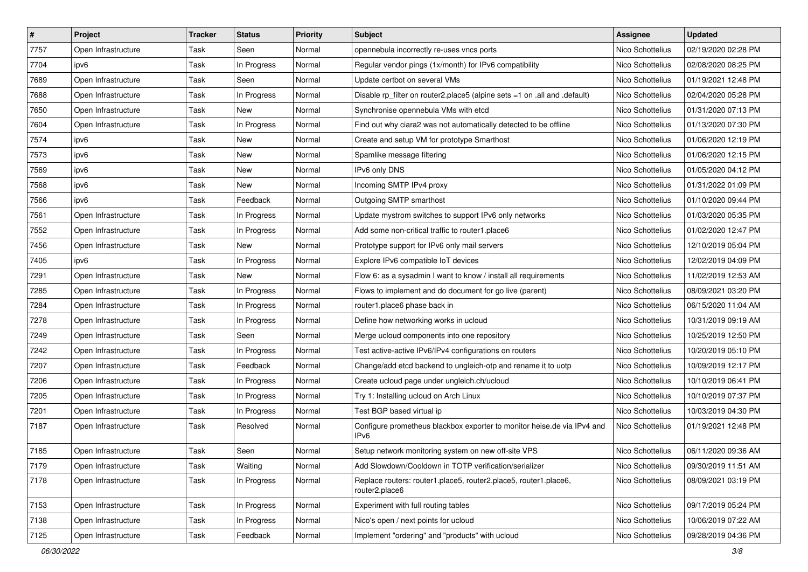| $\vert$ # | Project             | <b>Tracker</b> | <b>Status</b> | <b>Priority</b> | Subject                                                                            | <b>Assignee</b>  | <b>Updated</b>      |
|-----------|---------------------|----------------|---------------|-----------------|------------------------------------------------------------------------------------|------------------|---------------------|
| 7757      | Open Infrastructure | Task           | Seen          | Normal          | opennebula incorrectly re-uses vncs ports                                          | Nico Schottelius | 02/19/2020 02:28 PM |
| 7704      | ipv6                | Task           | In Progress   | Normal          | Regular vendor pings (1x/month) for IPv6 compatibility                             | Nico Schottelius | 02/08/2020 08:25 PM |
| 7689      | Open Infrastructure | Task           | Seen          | Normal          | Update certbot on several VMs                                                      | Nico Schottelius | 01/19/2021 12:48 PM |
| 7688      | Open Infrastructure | Task           | In Progress   | Normal          | Disable rp_filter on router2.place5 (alpine sets =1 on .all and .default)          | Nico Schottelius | 02/04/2020 05:28 PM |
| 7650      | Open Infrastructure | Task           | New           | Normal          | Synchronise opennebula VMs with etcd                                               | Nico Schottelius | 01/31/2020 07:13 PM |
| 7604      | Open Infrastructure | Task           | In Progress   | Normal          | Find out why ciara2 was not automatically detected to be offline                   | Nico Schottelius | 01/13/2020 07:30 PM |
| 7574      | ipv6                | Task           | New           | Normal          | Create and setup VM for prototype Smarthost                                        | Nico Schottelius | 01/06/2020 12:19 PM |
| 7573      | ipv6                | Task           | New           | Normal          | Spamlike message filtering                                                         | Nico Schottelius | 01/06/2020 12:15 PM |
| 7569      | ipv6                | Task           | New           | Normal          | IPv6 only DNS                                                                      | Nico Schottelius | 01/05/2020 04:12 PM |
| 7568      | ipv6                | Task           | New           | Normal          | Incoming SMTP IPv4 proxy                                                           | Nico Schottelius | 01/31/2022 01:09 PM |
| 7566      | ipv6                | Task           | Feedback      | Normal          | Outgoing SMTP smarthost                                                            | Nico Schottelius | 01/10/2020 09:44 PM |
| 7561      | Open Infrastructure | Task           | In Progress   | Normal          | Update mystrom switches to support IPv6 only networks                              | Nico Schottelius | 01/03/2020 05:35 PM |
| 7552      | Open Infrastructure | Task           | In Progress   | Normal          | Add some non-critical traffic to router1.place6                                    | Nico Schottelius | 01/02/2020 12:47 PM |
| 7456      | Open Infrastructure | Task           | New           | Normal          | Prototype support for IPv6 only mail servers                                       | Nico Schottelius | 12/10/2019 05:04 PM |
| 7405      | ipv6                | Task           | In Progress   | Normal          | Explore IPv6 compatible IoT devices                                                | Nico Schottelius | 12/02/2019 04:09 PM |
| 7291      | Open Infrastructure | Task           | New           | Normal          | Flow 6: as a sysadmin I want to know / install all requirements                    | Nico Schottelius | 11/02/2019 12:53 AM |
| 7285      | Open Infrastructure | Task           | In Progress   | Normal          | Flows to implement and do document for go live (parent)                            | Nico Schottelius | 08/09/2021 03:20 PM |
| 7284      | Open Infrastructure | Task           | In Progress   | Normal          | router1.place6 phase back in                                                       | Nico Schottelius | 06/15/2020 11:04 AM |
| 7278      | Open Infrastructure | Task           | In Progress   | Normal          | Define how networking works in ucloud                                              | Nico Schottelius | 10/31/2019 09:19 AM |
| 7249      | Open Infrastructure | Task           | Seen          | Normal          | Merge ucloud components into one repository                                        | Nico Schottelius | 10/25/2019 12:50 PM |
| 7242      | Open Infrastructure | Task           | In Progress   | Normal          | Test active-active IPv6/IPv4 configurations on routers                             | Nico Schottelius | 10/20/2019 05:10 PM |
| 7207      | Open Infrastructure | Task           | Feedback      | Normal          | Change/add etcd backend to ungleich-otp and rename it to uotp                      | Nico Schottelius | 10/09/2019 12:17 PM |
| 7206      | Open Infrastructure | Task           | In Progress   | Normal          | Create ucloud page under ungleich.ch/ucloud                                        | Nico Schottelius | 10/10/2019 06:41 PM |
| 7205      | Open Infrastructure | Task           | In Progress   | Normal          | Try 1: Installing ucloud on Arch Linux                                             | Nico Schottelius | 10/10/2019 07:37 PM |
| 7201      | Open Infrastructure | Task           | In Progress   | Normal          | Test BGP based virtual ip                                                          | Nico Schottelius | 10/03/2019 04:30 PM |
| 7187      | Open Infrastructure | Task           | Resolved      | Normal          | Configure prometheus blackbox exporter to monitor heise.de via IPv4 and<br>IPv6    | Nico Schottelius | 01/19/2021 12:48 PM |
| 7185      | Open Infrastructure | Task           | Seen          | Normal          | Setup network monitoring system on new off-site VPS                                | Nico Schottelius | 06/11/2020 09:36 AM |
| 7179      | Open Infrastructure | Task           | Waiting       | Normal          | Add Slowdown/Cooldown in TOTP verification/serializer                              | Nico Schottelius | 09/30/2019 11:51 AM |
| 7178      | Open Infrastructure | Task           | In Progress   | Normal          | Replace routers: router1.place5, router2.place5, router1.place6,<br>router2.place6 | Nico Schottelius | 08/09/2021 03:19 PM |
| 7153      | Open Infrastructure | Task           | In Progress   | Normal          | Experiment with full routing tables                                                | Nico Schottelius | 09/17/2019 05:24 PM |
| 7138      | Open Infrastructure | Task           | In Progress   | Normal          | Nico's open / next points for ucloud                                               | Nico Schottelius | 10/06/2019 07:22 AM |
| 7125      | Open Infrastructure | Task           | Feedback      | Normal          | Implement "ordering" and "products" with ucloud                                    | Nico Schottelius | 09/28/2019 04:36 PM |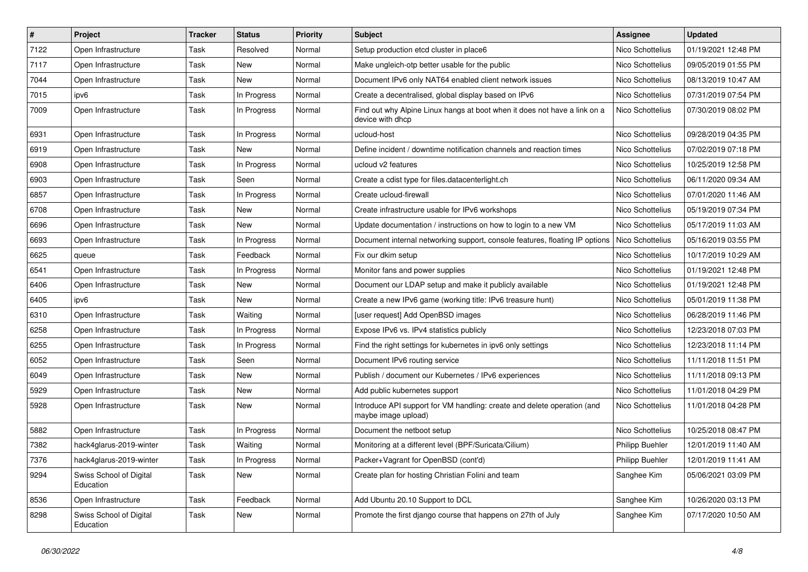| $\vert$ # | Project                              | <b>Tracker</b> | <b>Status</b> | <b>Priority</b> | Subject                                                                                        | Assignee               | <b>Updated</b>      |
|-----------|--------------------------------------|----------------|---------------|-----------------|------------------------------------------------------------------------------------------------|------------------------|---------------------|
| 7122      | Open Infrastructure                  | Task           | Resolved      | Normal          | Setup production etcd cluster in place6                                                        | Nico Schottelius       | 01/19/2021 12:48 PM |
| 7117      | Open Infrastructure                  | Task           | <b>New</b>    | Normal          | Make ungleich-otp better usable for the public                                                 | Nico Schottelius       | 09/05/2019 01:55 PM |
| 7044      | Open Infrastructure                  | Task           | New           | Normal          | Document IPv6 only NAT64 enabled client network issues                                         | Nico Schottelius       | 08/13/2019 10:47 AM |
| 7015      | ipv6                                 | Task           | In Progress   | Normal          | Create a decentralised, global display based on IPv6                                           | Nico Schottelius       | 07/31/2019 07:54 PM |
| 7009      | Open Infrastructure                  | Task           | In Progress   | Normal          | Find out why Alpine Linux hangs at boot when it does not have a link on a<br>device with dhcp  | Nico Schottelius       | 07/30/2019 08:02 PM |
| 6931      | Open Infrastructure                  | Task           | In Progress   | Normal          | ucloud-host                                                                                    | Nico Schottelius       | 09/28/2019 04:35 PM |
| 6919      | Open Infrastructure                  | Task           | <b>New</b>    | Normal          | Define incident / downtime notification channels and reaction times                            | Nico Schottelius       | 07/02/2019 07:18 PM |
| 6908      | Open Infrastructure                  | Task           | In Progress   | Normal          | ucloud v2 features                                                                             | Nico Schottelius       | 10/25/2019 12:58 PM |
| 6903      | Open Infrastructure                  | Task           | Seen          | Normal          | Create a cdist type for files.datacenterlight.ch                                               | Nico Schottelius       | 06/11/2020 09:34 AM |
| 6857      | Open Infrastructure                  | Task           | In Progress   | Normal          | Create ucloud-firewall                                                                         | Nico Schottelius       | 07/01/2020 11:46 AM |
| 6708      | Open Infrastructure                  | Task           | New           | Normal          | Create infrastructure usable for IPv6 workshops                                                | Nico Schottelius       | 05/19/2019 07:34 PM |
| 6696      | Open Infrastructure                  | Task           | <b>New</b>    | Normal          | Update documentation / instructions on how to login to a new VM                                | Nico Schottelius       | 05/17/2019 11:03 AM |
| 6693      | Open Infrastructure                  | Task           | In Progress   | Normal          | Document internal networking support, console features, floating IP options                    | Nico Schottelius       | 05/16/2019 03:55 PM |
| 6625      | queue                                | Task           | Feedback      | Normal          | Fix our dkim setup                                                                             | Nico Schottelius       | 10/17/2019 10:29 AM |
| 6541      | Open Infrastructure                  | Task           | In Progress   | Normal          | Monitor fans and power supplies                                                                | Nico Schottelius       | 01/19/2021 12:48 PM |
| 6406      | Open Infrastructure                  | Task           | New           | Normal          | Document our LDAP setup and make it publicly available                                         | Nico Schottelius       | 01/19/2021 12:48 PM |
| 6405      | ipv6                                 | Task           | New           | Normal          | Create a new IPv6 game (working title: IPv6 treasure hunt)                                     | Nico Schottelius       | 05/01/2019 11:38 PM |
| 6310      | Open Infrastructure                  | Task           | Waiting       | Normal          | [user request] Add OpenBSD images                                                              | Nico Schottelius       | 06/28/2019 11:46 PM |
| 6258      | Open Infrastructure                  | Task           | In Progress   | Normal          | Expose IPv6 vs. IPv4 statistics publicly                                                       | Nico Schottelius       | 12/23/2018 07:03 PM |
| 6255      | Open Infrastructure                  | Task           | In Progress   | Normal          | Find the right settings for kubernetes in ipv6 only settings                                   | Nico Schottelius       | 12/23/2018 11:14 PM |
| 6052      | Open Infrastructure                  | Task           | Seen          | Normal          | Document IPv6 routing service                                                                  | Nico Schottelius       | 11/11/2018 11:51 PM |
| 6049      | Open Infrastructure                  | Task           | New           | Normal          | Publish / document our Kubernetes / IPv6 experiences                                           | Nico Schottelius       | 11/11/2018 09:13 PM |
| 5929      | Open Infrastructure                  | Task           | New           | Normal          | Add public kubernetes support                                                                  | Nico Schottelius       | 11/01/2018 04:29 PM |
| 5928      | Open Infrastructure                  | Task           | New           | Normal          | Introduce API support for VM handling: create and delete operation (and<br>maybe image upload) | Nico Schottelius       | 11/01/2018 04:28 PM |
| 5882      | Open Infrastructure                  | Task           | In Progress   | Normal          | Document the netboot setup                                                                     | Nico Schottelius       | 10/25/2018 08:47 PM |
| 7382      | hack4glarus-2019-winter              | Task           | Waiting       | Normal          | Monitoring at a different level (BPF/Suricata/Cilium)                                          | Philipp Buehler        | 12/01/2019 11:40 AM |
| 7376      | hack4glarus-2019-winter              | Task           | In Progress   | Normal          | Packer+Vagrant for OpenBSD (cont'd)                                                            | <b>Philipp Buehler</b> | 12/01/2019 11:41 AM |
| 9294      | Swiss School of Digital<br>Education | Task           | New           | Normal          | Create plan for hosting Christian Folini and team                                              | Sanghee Kim            | 05/06/2021 03:09 PM |
| 8536      | Open Infrastructure                  | Task           | Feedback      | Normal          | Add Ubuntu 20.10 Support to DCL                                                                | Sanghee Kim            | 10/26/2020 03:13 PM |
| 8298      | Swiss School of Digital<br>Education | Task           | New           | Normal          | Promote the first django course that happens on 27th of July                                   | Sanghee Kim            | 07/17/2020 10:50 AM |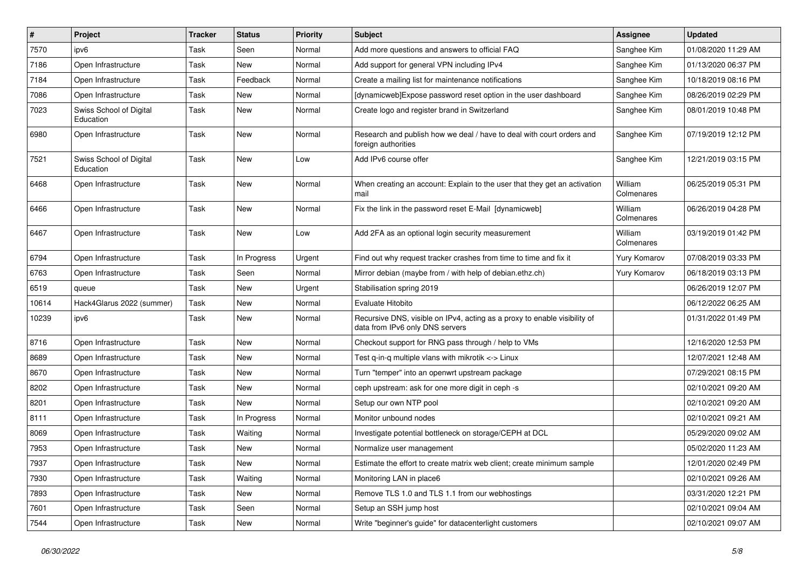| $\vert$ # | Project                              | Tracker | <b>Status</b> | <b>Priority</b> | Subject                                                                                                      | <b>Assignee</b>       | <b>Updated</b>      |
|-----------|--------------------------------------|---------|---------------|-----------------|--------------------------------------------------------------------------------------------------------------|-----------------------|---------------------|
| 7570      | ipv6                                 | Task    | Seen          | Normal          | Add more questions and answers to official FAQ                                                               | Sanghee Kim           | 01/08/2020 11:29 AM |
| 7186      | Open Infrastructure                  | Task    | <b>New</b>    | Normal          | Add support for general VPN including IPv4                                                                   | Sanghee Kim           | 01/13/2020 06:37 PM |
| 7184      | Open Infrastructure                  | Task    | Feedback      | Normal          | Create a mailing list for maintenance notifications                                                          | Sanghee Kim           | 10/18/2019 08:16 PM |
| 7086      | Open Infrastructure                  | Task    | New           | Normal          | [dynamicweb]Expose password reset option in the user dashboard                                               | Sanghee Kim           | 08/26/2019 02:29 PM |
| 7023      | Swiss School of Digital<br>Education | Task    | New           | Normal          | Create logo and register brand in Switzerland                                                                | Sanghee Kim           | 08/01/2019 10:48 PM |
| 6980      | Open Infrastructure                  | Task    | New           | Normal          | Research and publish how we deal / have to deal with court orders and<br>foreign authorities                 | Sanghee Kim           | 07/19/2019 12:12 PM |
| 7521      | Swiss School of Digital<br>Education | Task    | New           | Low             | Add IPv6 course offer                                                                                        | Sanghee Kim           | 12/21/2019 03:15 PM |
| 6468      | Open Infrastructure                  | Task    | New           | Normal          | When creating an account: Explain to the user that they get an activation<br>mail                            | William<br>Colmenares | 06/25/2019 05:31 PM |
| 6466      | Open Infrastructure                  | Task    | New           | Normal          | Fix the link in the password reset E-Mail [dynamicweb]                                                       | William<br>Colmenares | 06/26/2019 04:28 PM |
| 6467      | Open Infrastructure                  | Task    | New           | Low             | Add 2FA as an optional login security measurement                                                            | William<br>Colmenares | 03/19/2019 01:42 PM |
| 6794      | Open Infrastructure                  | Task    | In Progress   | Urgent          | Find out why request tracker crashes from time to time and fix it                                            | <b>Yury Komarov</b>   | 07/08/2019 03:33 PM |
| 6763      | Open Infrastructure                  | Task    | Seen          | Normal          | Mirror debian (maybe from / with help of debian.ethz.ch)                                                     | Yury Komarov          | 06/18/2019 03:13 PM |
| 6519      | queue                                | Task    | New           | Urgent          | Stabilisation spring 2019                                                                                    |                       | 06/26/2019 12:07 PM |
| 10614     | Hack4Glarus 2022 (summer)            | Task    | New           | Normal          | Evaluate Hitobito                                                                                            |                       | 06/12/2022 06:25 AM |
| 10239     | ipv6                                 | Task    | New           | Normal          | Recursive DNS, visible on IPv4, acting as a proxy to enable visibility of<br>data from IPv6 only DNS servers |                       | 01/31/2022 01:49 PM |
| 8716      | Open Infrastructure                  | Task    | <b>New</b>    | Normal          | Checkout support for RNG pass through / help to VMs                                                          |                       | 12/16/2020 12:53 PM |
| 8689      | Open Infrastructure                  | Task    | <b>New</b>    | Normal          | Test q-in-q multiple vlans with mikrotik <-> Linux                                                           |                       | 12/07/2021 12:48 AM |
| 8670      | Open Infrastructure                  | Task    | New           | Normal          | Turn "temper" into an openwrt upstream package                                                               |                       | 07/29/2021 08:15 PM |
| 8202      | Open Infrastructure                  | Task    | <b>New</b>    | Normal          | ceph upstream: ask for one more digit in ceph -s                                                             |                       | 02/10/2021 09:20 AM |
| 8201      | Open Infrastructure                  | Task    | New           | Normal          | Setup our own NTP pool                                                                                       |                       | 02/10/2021 09:20 AM |
| 8111      | Open Infrastructure                  | Task    | In Progress   | Normal          | Monitor unbound nodes                                                                                        |                       | 02/10/2021 09:21 AM |
| 8069      | Open Infrastructure                  | Task    | Waiting       | Normal          | Investigate potential bottleneck on storage/CEPH at DCL                                                      |                       | 05/29/2020 09:02 AM |
| 7953      | Open Infrastructure                  | Task    | New           | Normal          | Normalize user management                                                                                    |                       | 05/02/2020 11:23 AM |
| 7937      | Open Infrastructure                  | Task    | New           | Normal          | Estimate the effort to create matrix web client; create minimum sample                                       |                       | 12/01/2020 02:49 PM |
| 7930      | Open Infrastructure                  | Task    | Waiting       | Normal          | Monitoring LAN in place6                                                                                     |                       | 02/10/2021 09:26 AM |
| 7893      | Open Infrastructure                  | Task    | New           | Normal          | Remove TLS 1.0 and TLS 1.1 from our webhostings                                                              |                       | 03/31/2020 12:21 PM |
| 7601      | Open Infrastructure                  | Task    | Seen          | Normal          | Setup an SSH jump host                                                                                       |                       | 02/10/2021 09:04 AM |
| 7544      | Open Infrastructure                  | Task    | New           | Normal          | Write "beginner's guide" for datacenterlight customers                                                       |                       | 02/10/2021 09:07 AM |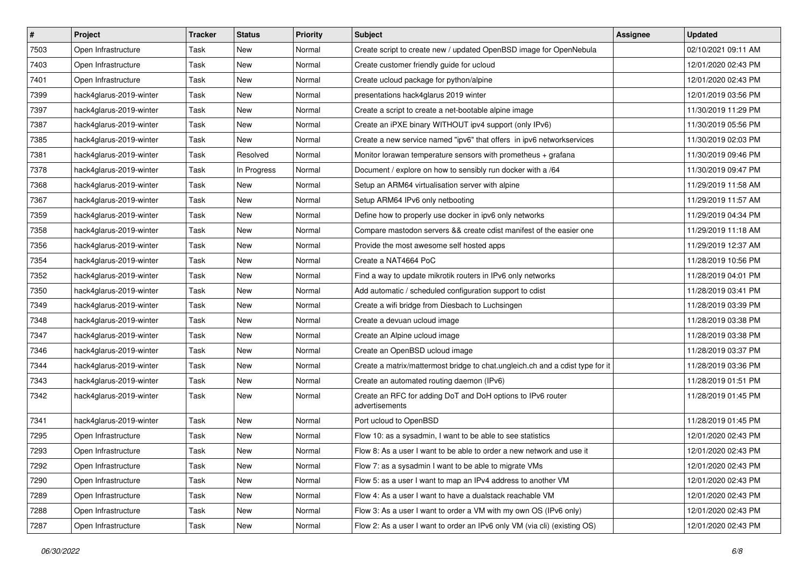| $\sharp$ | Project                 | <b>Tracker</b> | <b>Status</b> | <b>Priority</b> | Subject                                                                       | Assignee | <b>Updated</b>      |
|----------|-------------------------|----------------|---------------|-----------------|-------------------------------------------------------------------------------|----------|---------------------|
| 7503     | Open Infrastructure     | Task           | New           | Normal          | Create script to create new / updated OpenBSD image for OpenNebula            |          | 02/10/2021 09:11 AM |
| 7403     | Open Infrastructure     | Task           | <b>New</b>    | Normal          | Create customer friendly guide for ucloud                                     |          | 12/01/2020 02:43 PM |
| 7401     | Open Infrastructure     | Task           | New           | Normal          | Create ucloud package for python/alpine                                       |          | 12/01/2020 02:43 PM |
| 7399     | hack4glarus-2019-winter | Task           | New           | Normal          | presentations hack4glarus 2019 winter                                         |          | 12/01/2019 03:56 PM |
| 7397     | hack4glarus-2019-winter | Task           | New           | Normal          | Create a script to create a net-bootable alpine image                         |          | 11/30/2019 11:29 PM |
| 7387     | hack4glarus-2019-winter | Task           | New           | Normal          | Create an iPXE binary WITHOUT ipv4 support (only IPv6)                        |          | 11/30/2019 05:56 PM |
| 7385     | hack4glarus-2019-winter | Task           | New           | Normal          | Create a new service named "ipv6" that offers in ipv6 networkservices         |          | 11/30/2019 02:03 PM |
| 7381     | hack4glarus-2019-winter | Task           | Resolved      | Normal          | Monitor lorawan temperature sensors with prometheus + grafana                 |          | 11/30/2019 09:46 PM |
| 7378     | hack4glarus-2019-winter | Task           | In Progress   | Normal          | Document / explore on how to sensibly run docker with a /64                   |          | 11/30/2019 09:47 PM |
| 7368     | hack4glarus-2019-winter | Task           | New           | Normal          | Setup an ARM64 virtualisation server with alpine                              |          | 11/29/2019 11:58 AM |
| 7367     | hack4glarus-2019-winter | Task           | New           | Normal          | Setup ARM64 IPv6 only netbooting                                              |          | 11/29/2019 11:57 AM |
| 7359     | hack4glarus-2019-winter | Task           | New           | Normal          | Define how to properly use docker in ipv6 only networks                       |          | 11/29/2019 04:34 PM |
| 7358     | hack4glarus-2019-winter | Task           | New           | Normal          | Compare mastodon servers && create cdist manifest of the easier one           |          | 11/29/2019 11:18 AM |
| 7356     | hack4glarus-2019-winter | Task           | New           | Normal          | Provide the most awesome self hosted apps                                     |          | 11/29/2019 12:37 AM |
| 7354     | hack4glarus-2019-winter | Task           | New           | Normal          | Create a NAT4664 PoC                                                          |          | 11/28/2019 10:56 PM |
| 7352     | hack4glarus-2019-winter | Task           | New           | Normal          | Find a way to update mikrotik routers in IPv6 only networks                   |          | 11/28/2019 04:01 PM |
| 7350     | hack4glarus-2019-winter | Task           | New           | Normal          | Add automatic / scheduled configuration support to cdist                      |          | 11/28/2019 03:41 PM |
| 7349     | hack4glarus-2019-winter | Task           | New           | Normal          | Create a wifi bridge from Diesbach to Luchsingen                              |          | 11/28/2019 03:39 PM |
| 7348     | hack4glarus-2019-winter | Task           | New           | Normal          | Create a devuan ucloud image                                                  |          | 11/28/2019 03:38 PM |
| 7347     | hack4glarus-2019-winter | Task           | <b>New</b>    | Normal          | Create an Alpine ucloud image                                                 |          | 11/28/2019 03:38 PM |
| 7346     | hack4glarus-2019-winter | Task           | New           | Normal          | Create an OpenBSD ucloud image                                                |          | 11/28/2019 03:37 PM |
| 7344     | hack4glarus-2019-winter | Task           | New           | Normal          | Create a matrix/mattermost bridge to chat.ungleich.ch and a cdist type for it |          | 11/28/2019 03:36 PM |
| 7343     | hack4glarus-2019-winter | Task           | New           | Normal          | Create an automated routing daemon (IPv6)                                     |          | 11/28/2019 01:51 PM |
| 7342     | hack4glarus-2019-winter | Task           | New           | Normal          | Create an RFC for adding DoT and DoH options to IPv6 router<br>advertisements |          | 11/28/2019 01:45 PM |
| 7341     | hack4glarus-2019-winter | Task           | New           | Normal          | Port ucloud to OpenBSD                                                        |          | 11/28/2019 01:45 PM |
| 7295     | Open Infrastructure     | Task           | New           | Normal          | Flow 10: as a sysadmin, I want to be able to see statistics                   |          | 12/01/2020 02:43 PM |
| 7293     | Open Infrastructure     | Task           | New           | Normal          | Flow 8: As a user I want to be able to order a new network and use it         |          | 12/01/2020 02:43 PM |
| 7292     | Open Infrastructure     | Task           | New           | Normal          | Flow 7: as a sysadmin I want to be able to migrate VMs                        |          | 12/01/2020 02:43 PM |
| 7290     | Open Infrastructure     | Task           | New           | Normal          | Flow 5: as a user I want to map an IPv4 address to another VM                 |          | 12/01/2020 02:43 PM |
| 7289     | Open Infrastructure     | Task           | New           | Normal          | Flow 4: As a user I want to have a dualstack reachable VM                     |          | 12/01/2020 02:43 PM |
| 7288     | Open Infrastructure     | Task           | New           | Normal          | Flow 3: As a user I want to order a VM with my own OS (IPv6 only)             |          | 12/01/2020 02:43 PM |
| 7287     | Open Infrastructure     | Task           | New           | Normal          | Flow 2: As a user I want to order an IPv6 only VM (via cli) (existing OS)     |          | 12/01/2020 02:43 PM |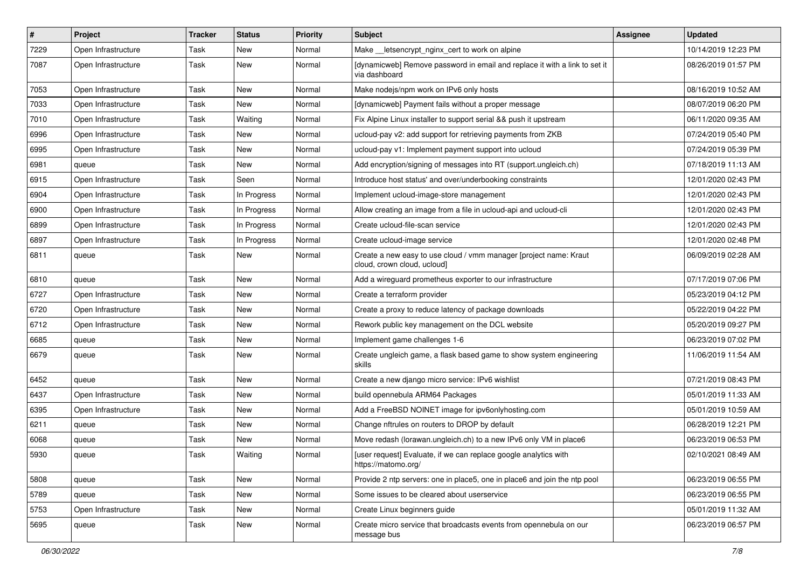| $\sharp$ | Project             | <b>Tracker</b> | <b>Status</b> | <b>Priority</b> | Subject                                                                                          | Assignee | <b>Updated</b>      |
|----------|---------------------|----------------|---------------|-----------------|--------------------------------------------------------------------------------------------------|----------|---------------------|
| 7229     | Open Infrastructure | Task           | New           | Normal          | Make letsencrypt nginx cert to work on alpine                                                    |          | 10/14/2019 12:23 PM |
| 7087     | Open Infrastructure | Task           | New           | Normal          | [dynamicweb] Remove password in email and replace it with a link to set it<br>via dashboard      |          | 08/26/2019 01:57 PM |
| 7053     | Open Infrastructure | Task           | New           | Normal          | Make nodejs/npm work on IPv6 only hosts                                                          |          | 08/16/2019 10:52 AM |
| 7033     | Open Infrastructure | Task           | New           | Normal          | [dynamicweb] Payment fails without a proper message                                              |          | 08/07/2019 06:20 PM |
| 7010     | Open Infrastructure | Task           | Waiting       | Normal          | Fix Alpine Linux installer to support serial && push it upstream                                 |          | 06/11/2020 09:35 AM |
| 6996     | Open Infrastructure | Task           | New           | Normal          | ucloud-pay v2: add support for retrieving payments from ZKB                                      |          | 07/24/2019 05:40 PM |
| 6995     | Open Infrastructure | Task           | New           | Normal          | ucloud-pay v1: Implement payment support into ucloud                                             |          | 07/24/2019 05:39 PM |
| 6981     | queue               | Task           | New           | Normal          | Add encryption/signing of messages into RT (support.ungleich.ch)                                 |          | 07/18/2019 11:13 AM |
| 6915     | Open Infrastructure | Task           | Seen          | Normal          | Introduce host status' and over/underbooking constraints                                         |          | 12/01/2020 02:43 PM |
| 6904     | Open Infrastructure | Task           | In Progress   | Normal          | Implement ucloud-image-store management                                                          |          | 12/01/2020 02:43 PM |
| 6900     | Open Infrastructure | Task           | In Progress   | Normal          | Allow creating an image from a file in ucloud-api and ucloud-cli                                 |          | 12/01/2020 02:43 PM |
| 6899     | Open Infrastructure | Task           | In Progress   | Normal          | Create ucloud-file-scan service                                                                  |          | 12/01/2020 02:43 PM |
| 6897     | Open Infrastructure | Task           | In Progress   | Normal          | Create ucloud-image service                                                                      |          | 12/01/2020 02:48 PM |
| 6811     | queue               | Task           | New           | Normal          | Create a new easy to use cloud / vmm manager [project name: Kraut<br>cloud, crown cloud, ucloud] |          | 06/09/2019 02:28 AM |
| 6810     | queue               | Task           | New           | Normal          | Add a wireguard prometheus exporter to our infrastructure                                        |          | 07/17/2019 07:06 PM |
| 6727     | Open Infrastructure | Task           | New           | Normal          | Create a terraform provider                                                                      |          | 05/23/2019 04:12 PM |
| 6720     | Open Infrastructure | Task           | New           | Normal          | Create a proxy to reduce latency of package downloads                                            |          | 05/22/2019 04:22 PM |
| 6712     | Open Infrastructure | Task           | New           | Normal          | Rework public key management on the DCL website                                                  |          | 05/20/2019 09:27 PM |
| 6685     | queue               | Task           | New           | Normal          | Implement game challenges 1-6                                                                    |          | 06/23/2019 07:02 PM |
| 6679     | queue               | Task           | New           | Normal          | Create ungleich game, a flask based game to show system engineering<br>skills                    |          | 11/06/2019 11:54 AM |
| 6452     | queue               | Task           | New           | Normal          | Create a new django micro service: IPv6 wishlist                                                 |          | 07/21/2019 08:43 PM |
| 6437     | Open Infrastructure | Task           | New           | Normal          | build opennebula ARM64 Packages                                                                  |          | 05/01/2019 11:33 AM |
| 6395     | Open Infrastructure | Task           | New           | Normal          | Add a FreeBSD NOINET image for ipv6onlyhosting.com                                               |          | 05/01/2019 10:59 AM |
| 6211     | queue               | Task           | New           | Normal          | Change nftrules on routers to DROP by default                                                    |          | 06/28/2019 12:21 PM |
| 6068     | queue               | Task           | New           | Normal          | Move redash (lorawan.ungleich.ch) to a new IPv6 only VM in place6                                |          | 06/23/2019 06:53 PM |
| 5930     | queue               | Task           | Waiting       | Normal          | [user request] Evaluate, if we can replace google analytics with<br>https://matomo.org/          |          | 02/10/2021 08:49 AM |
| 5808     | queue               | Task           | New           | Normal          | Provide 2 ntp servers: one in place5, one in place6 and join the ntp pool                        |          | 06/23/2019 06:55 PM |
| 5789     | queue               | Task           | New           | Normal          | Some issues to be cleared about userservice                                                      |          | 06/23/2019 06:55 PM |
| 5753     | Open Infrastructure | Task           | New           | Normal          | Create Linux beginners guide                                                                     |          | 05/01/2019 11:32 AM |
| 5695     | queue               | Task           | New           | Normal          | Create micro service that broadcasts events from opennebula on our<br>message bus                |          | 06/23/2019 06:57 PM |